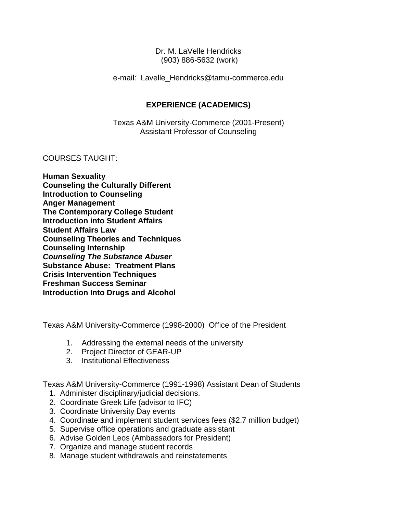Dr. M. LaVelle Hendricks (903) 886-5632 (work)

e-mail: Lavelle\_Hendricks@tamu-commerce.edu

# **EXPERIENCE (ACADEMICS)**

Texas A&M University-Commerce (2001-Present) Assistant Professor of Counseling

#### COURSES TAUGHT:

**Human Sexuality Counseling the Culturally Different Introduction to Counseling Anger Management The Contemporary College Student Introduction into Student Affairs Student Affairs Law Counseling Theories and Techniques Counseling Internship** *Counseling The Substance Abuser* **Substance Abuse: Treatment Plans Crisis Intervention Techniques Freshman Success Seminar Introduction Into Drugs and Alcohol**

Texas A&M University-Commerce (1998-2000) Office of the President

- 1. Addressing the external needs of the university
- 2. Project Director of GEAR-UP
- 3. Institutional Effectiveness

Texas A&M University-Commerce (1991-1998) Assistant Dean of Students

- 1. Administer disciplinary/judicial decisions.
- 2. Coordinate Greek Life (advisor to IFC)
- 3. Coordinate University Day events
- 4. Coordinate and implement student services fees (\$2.7 million budget)
- 5. Supervise office operations and graduate assistant
- 6. Advise Golden Leos (Ambassadors for President)
- 7. Organize and manage student records
- 8. Manage student withdrawals and reinstatements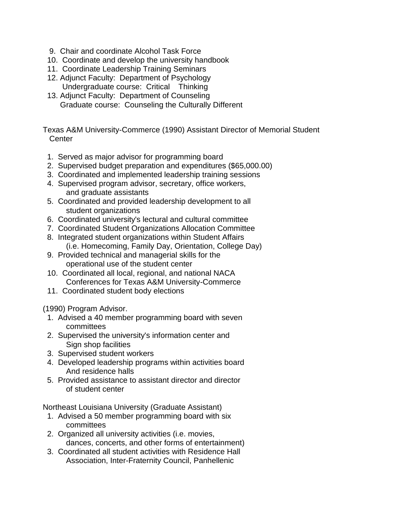- 9. Chair and coordinate Alcohol Task Force
- 10. Coordinate and develop the university handbook
- 11. Coordinate Leadership Training Seminars
- 12. Adjunct Faculty: Department of Psychology Undergraduate course: Critical Thinking
- 13. Adjunct Faculty: Department of Counseling Graduate course: Counseling the Culturally Different

Texas A&M University-Commerce (1990) Assistant Director of Memorial Student **Center** 

- 1. Served as major advisor for programming board
- 2. Supervised budget preparation and expenditures (\$65,000.00)
- 3. Coordinated and implemented leadership training sessions
- 4. Supervised program advisor, secretary, office workers, and graduate assistants
- 5. Coordinated and provided leadership development to all student organizations
- 6. Coordinated university's lectural and cultural committee
- 7. Coordinated Student Organizations Allocation Committee
- 8. Integrated student organizations within Student Affairs (i.e. Homecoming, Family Day, Orientation, College Day)
- 9. Provided technical and managerial skills for the operational use of the student center
- 10. Coordinated all local, regional, and national NACA Conferences for Texas A&M University-Commerce
- 11. Coordinated student body elections

(1990) Program Advisor.

- 1. Advised a 40 member programming board with seven committees
- 2. Supervised the university's information center and Sign shop facilities
- 3. Supervised student workers
- 4. Developed leadership programs within activities board And residence halls
- 5. Provided assistance to assistant director and director of student center

Northeast Louisiana University (Graduate Assistant)

- 1. Advised a 50 member programming board with six committees
- 2. Organized all university activities (i.e. movies, dances, concerts, and other forms of entertainment)
- 3. Coordinated all student activities with Residence Hall Association, Inter-Fraternity Council, Panhellenic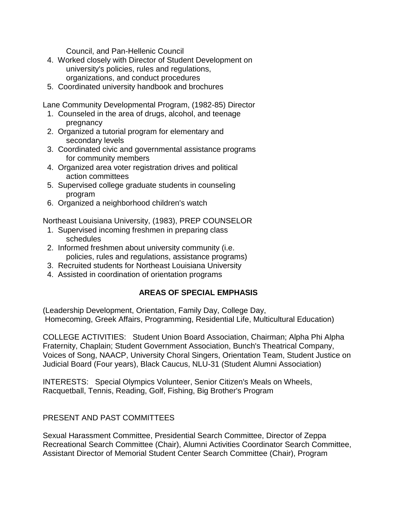Council, and Pan-Hellenic Council

- 4. Worked closely with Director of Student Development on university's policies, rules and regulations, organizations, and conduct procedures
- 5. Coordinated university handbook and brochures

Lane Community Developmental Program, (1982-85) Director

- 1. Counseled in the area of drugs, alcohol, and teenage pregnancy
- 2. Organized a tutorial program for elementary and secondary levels
- 3. Coordinated civic and governmental assistance programs for community members
- 4. Organized area voter registration drives and political action committees
- 5. Supervised college graduate students in counseling program
- 6. Organized a neighborhood children's watch

Northeast Louisiana University, (1983), PREP COUNSELOR

- 1. Supervised incoming freshmen in preparing class schedules
- 2. Informed freshmen about university community (i.e. policies, rules and regulations, assistance programs)
- 3. Recruited students for Northeast Louisiana University
- 4. Assisted in coordination of orientation programs

## **AREAS OF SPECIAL EMPHASIS**

(Leadership Development, Orientation, Family Day, College Day, Homecoming, Greek Affairs, Programming, Residential Life, Multicultural Education)

COLLEGE ACTIVITIES: Student Union Board Association, Chairman; Alpha Phi Alpha Fraternity, Chaplain; Student Government Association, Bunch's Theatrical Company, Voices of Song, NAACP, University Choral Singers, Orientation Team, Student Justice on Judicial Board (Four years), Black Caucus, NLU-31 (Student Alumni Association)

INTERESTS: Special Olympics Volunteer, Senior Citizen's Meals on Wheels, Racquetball, Tennis, Reading, Golf, Fishing, Big Brother's Program

#### PRESENT AND PAST COMMITTEES

Sexual Harassment Committee, Presidential Search Committee, Director of Zeppa Recreational Search Committee (Chair), Alumni Activities Coordinator Search Committee, Assistant Director of Memorial Student Center Search Committee (Chair), Program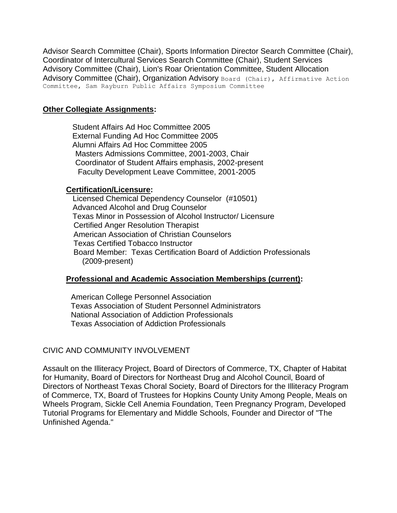Advisor Search Committee (Chair), Sports Information Director Search Committee (Chair), Coordinator of Intercultural Services Search Committee (Chair), Student Services Advisory Committee (Chair), Lion's Roar Orientation Committee, Student Allocation Advisory Committee (Chair), Organization Advisory Board (Chair), Affirmative Action Committee, Sam Rayburn Public Affairs Symposium Committee

#### **Other Collegiate Assignments:**

Student Affairs Ad Hoc Committee 2005 External Funding Ad Hoc Committee 2005 Alumni Affairs Ad Hoc Committee 2005 Masters Admissions Committee, 2001-2003, Chair Coordinator of Student Affairs emphasis, 2002-present Faculty Development Leave Committee, 2001-2005

#### **Certification/Licensure:**

 Licensed Chemical Dependency Counselor (#10501) Advanced Alcohol and Drug Counselor Texas Minor in Possession of Alcohol Instructor/ Licensure Certified Anger Resolution Therapist American Association of Christian Counselors Texas Certified Tobacco Instructor Board Member: Texas Certification Board of Addiction Professionals (2009-present)

#### **Professional and Academic Association Memberships (current):**

American College Personnel Association Texas Association of Student Personnel Administrators National Association of Addiction Professionals Texas Association of Addiction Professionals

## CIVIC AND COMMUNITY INVOLVEMENT

Assault on the Illiteracy Project, Board of Directors of Commerce, TX, Chapter of Habitat for Humanity, Board of Directors for Northeast Drug and Alcohol Council, Board of Directors of Northeast Texas Choral Society, Board of Directors for the Illiteracy Program of Commerce, TX, Board of Trustees for Hopkins County Unity Among People, Meals on Wheels Program, Sickle Cell Anemia Foundation, Teen Pregnancy Program, Developed Tutorial Programs for Elementary and Middle Schools, Founder and Director of "The Unfinished Agenda."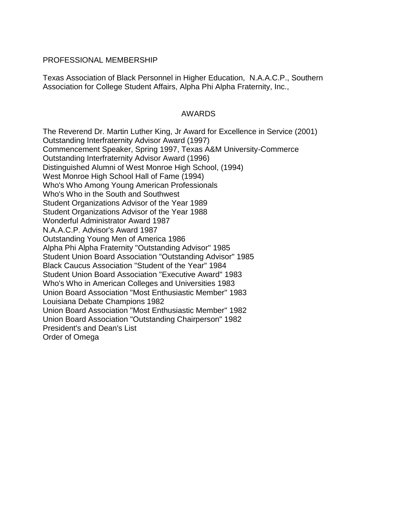### PROFESSIONAL MEMBERSHIP

Texas Association of Black Personnel in Higher Education, N.A.A.C.P., Southern Association for College Student Affairs, Alpha Phi Alpha Fraternity, Inc.,

#### AWARDS

The Reverend Dr. Martin Luther King, Jr Award for Excellence in Service (2001) Outstanding Interfraternity Advisor Award (1997) Commencement Speaker, Spring 1997, Texas A&M University-Commerce Outstanding Interfraternity Advisor Award (1996) Distinguished Alumni of West Monroe High School, (1994) West Monroe High School Hall of Fame (1994) Who's Who Among Young American Professionals Who's Who in the South and Southwest Student Organizations Advisor of the Year 1989 Student Organizations Advisor of the Year 1988 Wonderful Administrator Award 1987 N.A.A.C.P. Advisor's Award 1987 Outstanding Young Men of America 1986 Alpha Phi Alpha Fraternity "Outstanding Advisor" 1985 Student Union Board Association "Outstanding Advisor" 1985 Black Caucus Association "Student of the Year" 1984 Student Union Board Association "Executive Award" 1983 Who's Who in American Colleges and Universities 1983 Union Board Association "Most Enthusiastic Member" 1983 Louisiana Debate Champions 1982 Union Board Association "Most Enthusiastic Member" 1982 Union Board Association "Outstanding Chairperson" 1982 President's and Dean's List Order of Omega